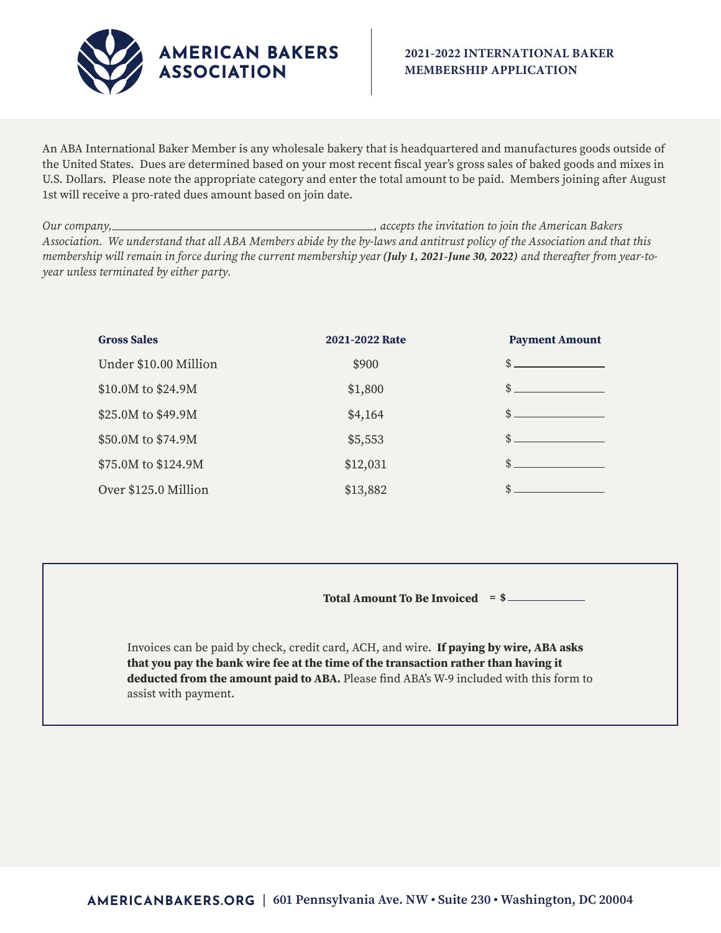

An ABA International Baker Member is any wholesale bakery that is headquartered and manufactures goods outside of the United States. Dues are determined based on your most recent fiscal year's gross sales of baked goods and mixes in U.S. Dollars. Please note the appropriate category and enter the total amount to be paid. Members joining after August 1st will receive a pro-rated dues amount based on join date.

*Our company, , accepts the invitation to join the American Bakers Association. We understand that all ABA Members abide by the by-laws and antitrust policy of the Association and that this membership will remain in force during the current membership year (July 1, 2021-June 30, 2022) and thereafter from year-toyear unless terminated by either party.*

| <b>Gross Sales</b>    | 2021-2022 Rate | <b>Payment Amount</b> |
|-----------------------|----------------|-----------------------|
| Under \$10.00 Million | \$900          | \$                    |
| \$10.0M to \$24.9M    | \$1,800        | $\mathsf{\$}$ .       |
| \$25.0M to \$49.9M    | \$4,164        | \$                    |
| \$50.0M to \$74.9M    | \$5,553        | \$                    |
| \$75.0M to \$124.9M   | \$12,031       | \$                    |
| Over \$125.0 Million  | \$13,882       | \$                    |

**Total Amount To Be Invoiced = \$** 

Invoices can be paid by check, credit card, ACH, and wire. **If paying by wire, ABA asks that you pay the bank wire fee at the time of the transaction rather than having it deducted from the amount paid to ABA.** Please find ABA's W-9 included with this form to assist with payment.